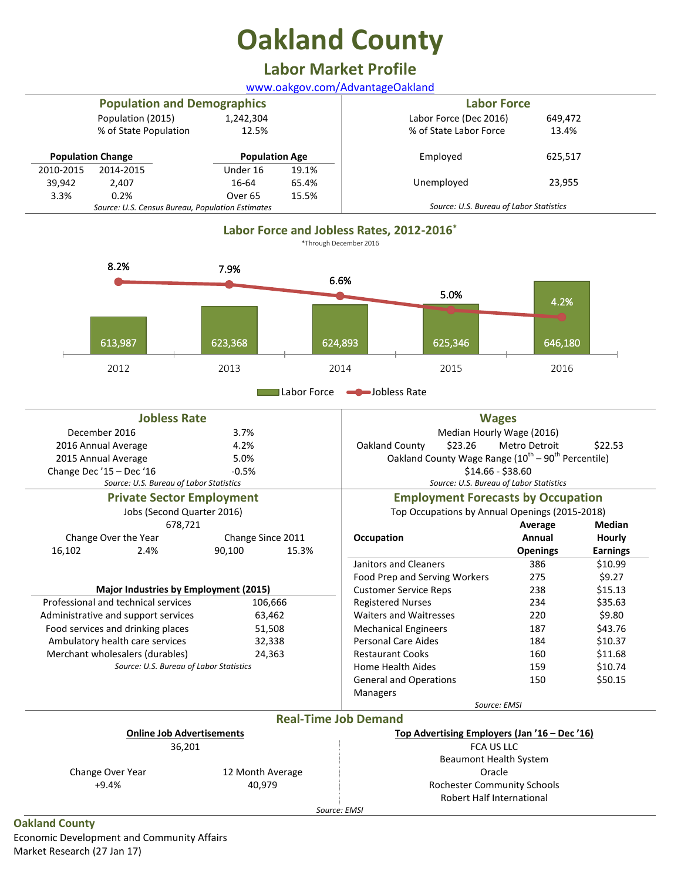# **Oakland County**

## **Labor Market Profile**

[www.oakgov.com/AdvantageOakland](http://www.oakgov.com/AdvantageOakland)

| <b>Population and Demographics</b>               |                       |                       |                                         | <b>Labor Force</b>     |         |  |  |
|--------------------------------------------------|-----------------------|-----------------------|-----------------------------------------|------------------------|---------|--|--|
|                                                  | Population (2015)     | 1,242,304             |                                         | Labor Force (Dec 2016) | 649,472 |  |  |
|                                                  | % of State Population | 12.5%                 |                                         | % of State Labor Force | 13.4%   |  |  |
| <b>Population Change</b>                         |                       | <b>Population Age</b> |                                         | Employed               | 625,517 |  |  |
| 2010-2015                                        | 2014-2015             | Under 16              | 19.1%                                   |                        |         |  |  |
| 39,942                                           | 2.407                 | 16-64                 | 65.4%                                   | Unemployed             | 23,955  |  |  |
| 3.3%                                             | 0.2%                  | Over 65               | 15.5%                                   |                        |         |  |  |
| Source: U.S. Census Bureau, Population Estimates |                       |                       | Source: U.S. Bureau of Labor Statistics |                        |         |  |  |



Labor Force **-D**Jobless Rate

| <b>Jobless Rate</b>                     |                   |                             | <b>Wages</b>                                                               |                 |                 |  |
|-----------------------------------------|-------------------|-----------------------------|----------------------------------------------------------------------------|-----------------|-----------------|--|
| December 2016                           | 3.7%              |                             | Median Hourly Wage (2016)                                                  |                 |                 |  |
| 2016 Annual Average                     | 4.2%              |                             | Oakland County<br>\$23.26                                                  | Metro Detroit   | \$22.53         |  |
| 2015 Annual Average                     | 5.0%              |                             | Oakland County Wage Range (10 <sup>th</sup> – 90 <sup>th</sup> Percentile) |                 |                 |  |
| Change Dec'15 - Dec'16                  | $-0.5%$           |                             | $$14.66 - $38.60$                                                          |                 |                 |  |
| Source: U.S. Bureau of Labor Statistics |                   |                             | Source: U.S. Bureau of Labor Statistics                                    |                 |                 |  |
| <b>Private Sector Employment</b>        |                   |                             | <b>Employment Forecasts by Occupation</b>                                  |                 |                 |  |
| Jobs (Second Quarter 2016)              |                   |                             | Top Occupations by Annual Openings (2015-2018)                             |                 |                 |  |
| 678,721                                 |                   |                             |                                                                            | Average         | Median          |  |
| Change Over the Year                    | Change Since 2011 |                             | Occupation                                                                 | Annual          | Hourly          |  |
| 16,102<br>2.4%                          | 90,100            | 15.3%                       |                                                                            | <b>Openings</b> | <b>Earnings</b> |  |
|                                         |                   |                             | Janitors and Cleaners                                                      | 386             | \$10.99         |  |
|                                         |                   |                             | Food Prep and Serving Workers                                              | 275             | \$9.27          |  |
| Major Industries by Employment (2015)   |                   |                             | <b>Customer Service Reps</b>                                               | 238             | \$15.13         |  |
| Professional and technical services     | 106,666           |                             | <b>Registered Nurses</b>                                                   | 234             | \$35.63         |  |
| Administrative and support services     | 63,462            |                             | <b>Waiters and Waitresses</b>                                              | 220             | \$9.80          |  |
| Food services and drinking places       | 51,508            |                             | <b>Mechanical Engineers</b>                                                | 187             | \$43.76         |  |
| Ambulatory health care services         | 32,338            |                             | <b>Personal Care Aides</b>                                                 | 184             | \$10.37         |  |
| Merchant wholesalers (durables)         | 24,363            |                             | <b>Restaurant Cooks</b>                                                    | 160             | \$11.68         |  |
| Source: U.S. Bureau of Labor Statistics |                   |                             | <b>Home Health Aides</b>                                                   | 159             | \$10.74         |  |
|                                         |                   |                             | <b>General and Operations</b>                                              | 150             | \$50.15         |  |
|                                         |                   |                             | <b>Managers</b>                                                            |                 |                 |  |
|                                         |                   |                             | Source: EMSI                                                               |                 |                 |  |
|                                         |                   | <b>Real-Time Job Demand</b> |                                                                            |                 |                 |  |
| <b>Online Job Advertisements</b>        |                   |                             | Top Advertising Employers (Jan '16 - Dec '16)                              |                 |                 |  |
| 36,201                                  |                   |                             | <b>FCA US LLC</b>                                                          |                 |                 |  |
|                                         |                   |                             | <b>Beaumont Health System</b>                                              |                 |                 |  |
| Change Over Year                        | 12 Month Average  |                             | Oracle                                                                     |                 |                 |  |
| $+9.4%$                                 | 40,979            |                             | <b>Rochester Community Schools</b>                                         |                 |                 |  |
|                                         |                   |                             | Robert Half International                                                  |                 |                 |  |
| ويتقمر ويمركز الممرم الرابع             |                   | Source: EMSI                |                                                                            |                 |                 |  |